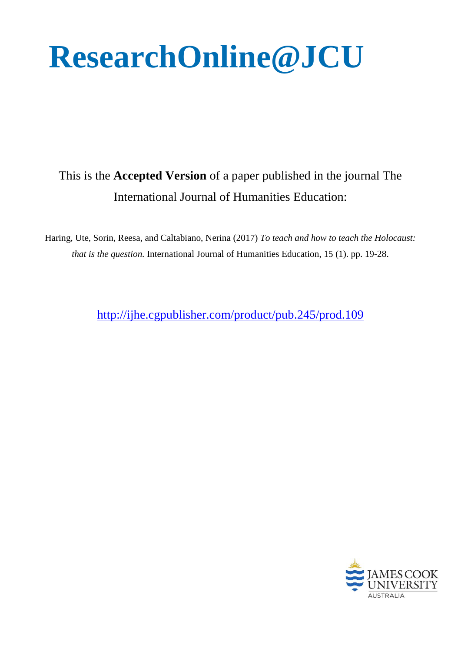# **ResearchOnline@JCU**

## This is the **Accepted Version** of a paper published in the journal The International Journal of Humanities Education:

Haring, Ute, Sorin, Reesa, and Caltabiano, Nerina (2017) *To teach and how to teach the Holocaust: that is the question.* International Journal of Humanities Education, 15 (1). pp. 19-28.

<http://ijhe.cgpublisher.com/product/pub.245/prod.109>

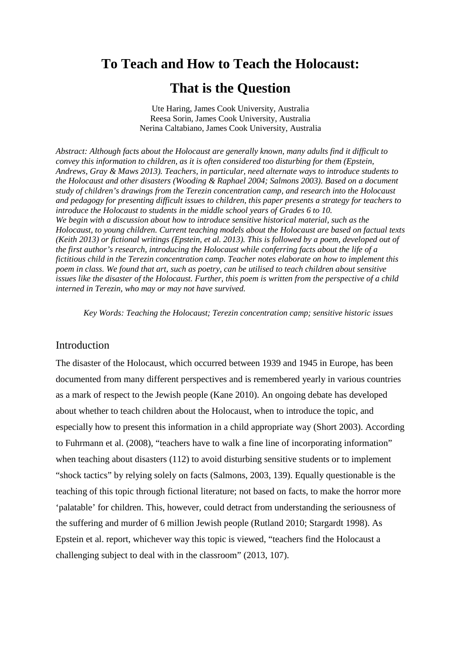# **To Teach and How to Teach the Holocaust:**

### **That is the Question**

Ute Haring, James Cook University, Australia Reesa Sorin, James Cook University, Australia Nerina Caltabiano, James Cook University, Australia

*Abstract: Although facts about the Holocaust are generally known, many adults find it difficult to convey this information to children, as it is often considered too disturbing for them (Epstein, Andrews, Gray & Maws 2013). Teachers, in particular, need alternate ways to introduce students to the Holocaust and other disasters (Wooding & Raphael 2004; Salmons 2003). Based on a document study of children's drawings from the Terezin concentration camp, and research into the Holocaust and pedagogy for presenting difficult issues to children, this paper presents a strategy for teachers to introduce the Holocaust to students in the middle school years of Grades 6 to 10. We begin with a discussion about how to introduce sensitive historical material, such as the Holocaust, to young children. Current teaching models about the Holocaust are based on factual texts (Keith 2013) or fictional writings (Epstein, et al. 2013). This is followed by a poem, developed out of the first author's research, introducing the Holocaust while conferring facts about the life of a fictitious child in the Terezin concentration camp. Teacher notes elaborate on how to implement this poem in class. We found that art, such as poetry, can be utilised to teach children about sensitive issues like the disaster of the Holocaust. Further, this poem is written from the perspective of a child interned in Terezin, who may or may not have survived.*

*Key Words: Teaching the Holocaust; Terezin concentration camp; sensitive historic issues*

#### Introduction

The disaster of the Holocaust, which occurred between 1939 and 1945 in Europe, has been documented from many different perspectives and is remembered yearly in various countries as a mark of respect to the Jewish people (Kane 2010). An ongoing debate has developed about whether to teach children about the Holocaust, when to introduce the topic, and especially how to present this information in a child appropriate way (Short 2003). According to Fuhrmann et al. (2008), "teachers have to walk a fine line of incorporating information" when teaching about disasters (112) to avoid disturbing sensitive students or to implement "shock tactics" by relying solely on facts (Salmons, 2003, 139). Equally questionable is the teaching of this topic through fictional literature; not based on facts, to make the horror more 'palatable' for children. This, however, could detract from understanding the seriousness of the suffering and murder of 6 million Jewish people (Rutland 2010; Stargardt 1998). As Epstein et al. report, whichever way this topic is viewed, "teachers find the Holocaust a challenging subject to deal with in the classroom" (2013, 107).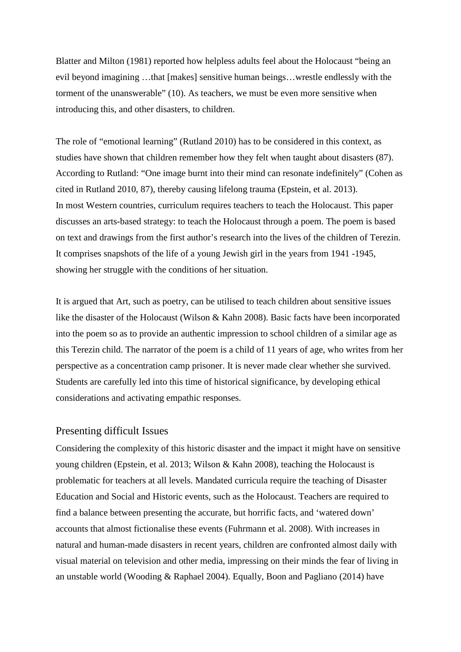Blatter and Milton (1981) reported how helpless adults feel about the Holocaust "being an evil beyond imagining …that [makes] sensitive human beings…wrestle endlessly with the torment of the unanswerable" (10). As teachers, we must be even more sensitive when introducing this, and other disasters, to children.

The role of "emotional learning" (Rutland 2010) has to be considered in this context, as studies have shown that children remember how they felt when taught about disasters (87). According to Rutland: "One image burnt into their mind can resonate indefinitely" (Cohen as cited in Rutland 2010, 87), thereby causing lifelong trauma (Epstein, et al. 2013). In most Western countries, curriculum requires teachers to teach the Holocaust. This paper discusses an arts-based strategy: to teach the Holocaust through a poem. The poem is based on text and drawings from the first author's research into the lives of the children of Terezin. It comprises snapshots of the life of a young Jewish girl in the years from 1941 -1945, showing her struggle with the conditions of her situation.

It is argued that Art, such as poetry, can be utilised to teach children about sensitive issues like the disaster of the Holocaust (Wilson & Kahn 2008). Basic facts have been incorporated into the poem so as to provide an authentic impression to school children of a similar age as this Terezin child. The narrator of the poem is a child of 11 years of age, who writes from her perspective as a concentration camp prisoner. It is never made clear whether she survived. Students are carefully led into this time of historical significance, by developing ethical considerations and activating empathic responses.

#### Presenting difficult Issues

Considering the complexity of this historic disaster and the impact it might have on sensitive young children (Epstein, et al. 2013; Wilson & Kahn 2008), teaching the Holocaust is problematic for teachers at all levels. Mandated curricula require the teaching of Disaster Education and Social and Historic events, such as the Holocaust. Teachers are required to find a balance between presenting the accurate, but horrific facts, and 'watered down' accounts that almost fictionalise these events (Fuhrmann et al. 2008). With increases in natural and human-made disasters in recent years, children are confronted almost daily with visual material on television and other media, impressing on their minds the fear of living in an unstable world (Wooding & Raphael 2004). Equally, Boon and Pagliano (2014) have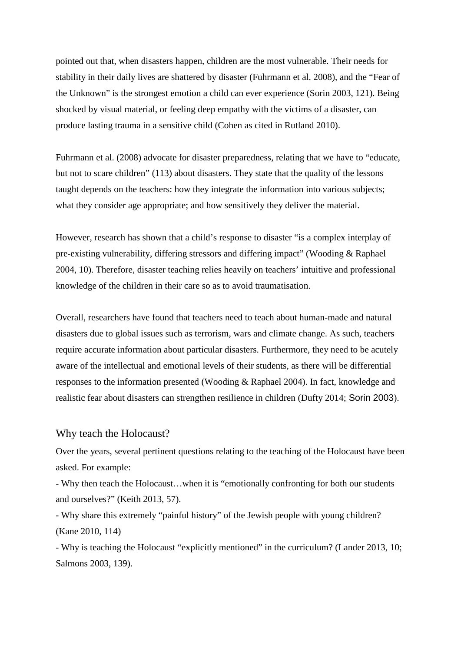pointed out that, when disasters happen, children are the most vulnerable. Their needs for stability in their daily lives are shattered by disaster (Fuhrmann et al. 2008), and the "Fear of the Unknown" is the strongest emotion a child can ever experience (Sorin 2003, 121). Being shocked by visual material, or feeling deep empathy with the victims of a disaster, can produce lasting trauma in a sensitive child (Cohen as cited in Rutland 2010).

Fuhrmann et al. (2008) advocate for disaster preparedness, relating that we have to "educate, but not to scare children" (113) about disasters. They state that the quality of the lessons taught depends on the teachers: how they integrate the information into various subjects; what they consider age appropriate; and how sensitively they deliver the material.

However, research has shown that a child's response to disaster "is a complex interplay of pre-existing vulnerability, differing stressors and differing impact" (Wooding & Raphael 2004, 10). Therefore, disaster teaching relies heavily on teachers' intuitive and professional knowledge of the children in their care so as to avoid traumatisation.

Overall, researchers have found that teachers need to teach about human-made and natural disasters due to global issues such as terrorism, wars and climate change. As such, teachers require accurate information about particular disasters. Furthermore, they need to be acutely aware of the intellectual and emotional levels of their students, as there will be differential responses to the information presented (Wooding & Raphael 2004). In fact, knowledge and realistic fear about disasters can strengthen resilience in children (Dufty 2014; Sorin 2003).

#### Why teach the Holocaust?

Over the years, several pertinent questions relating to the teaching of the Holocaust have been asked. For example:

- Why then teach the Holocaust…when it is "emotionally confronting for both our students and ourselves?" (Keith 2013, 57).

- Why share this extremely "painful history" of the Jewish people with young children? (Kane 2010, 114)

- Why is teaching the Holocaust "explicitly mentioned" in the curriculum? (Lander 2013, 10; Salmons 2003, 139).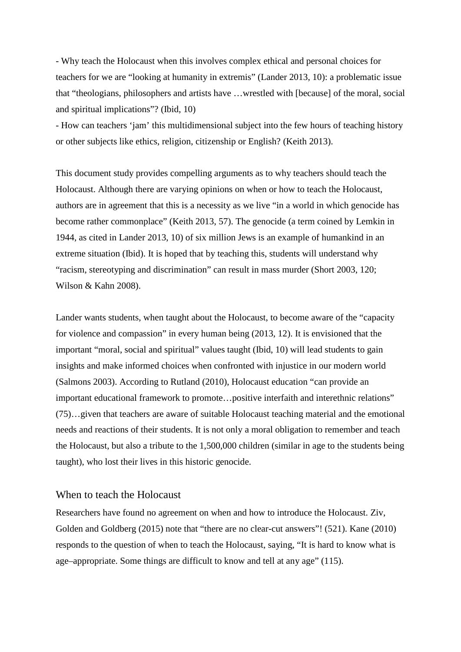- Why teach the Holocaust when this involves complex ethical and personal choices for teachers for we are "looking at humanity in extremis" (Lander 2013, 10): a problematic issue that "theologians, philosophers and artists have …wrestled with [because] of the moral, social and spiritual implications"? (Ibid, 10)

- How can teachers 'jam' this multidimensional subject into the few hours of teaching history or other subjects like ethics, religion, citizenship or English? (Keith 2013).

This document study provides compelling arguments as to why teachers should teach the Holocaust. Although there are varying opinions on when or how to teach the Holocaust, authors are in agreement that this is a necessity as we live "in a world in which genocide has become rather commonplace" (Keith 2013, 57). The genocide (a term coined by Lemkin in 1944, as cited in Lander 2013, 10) of six million Jews is an example of humankind in an extreme situation (Ibid). It is hoped that by teaching this, students will understand why "racism, stereotyping and discrimination" can result in mass murder (Short 2003, 120; Wilson & Kahn 2008).

Lander wants students, when taught about the Holocaust, to become aware of the "capacity for violence and compassion" in every human being (2013, 12). It is envisioned that the important "moral, social and spiritual" values taught (Ibid, 10) will lead students to gain insights and make informed choices when confronted with injustice in our modern world (Salmons 2003). According to Rutland (2010), Holocaust education "can provide an important educational framework to promote…positive interfaith and interethnic relations" (75)…given that teachers are aware of suitable Holocaust teaching material and the emotional needs and reactions of their students. It is not only a moral obligation to remember and teach the Holocaust, but also a tribute to the 1,500,000 children (similar in age to the students being taught), who lost their lives in this historic genocide.

#### When to teach the Holocaust

Researchers have found no agreement on when and how to introduce the Holocaust. Ziv, Golden and Goldberg (2015) note that "there are no clear-cut answers"! (521). Kane (2010) responds to the question of when to teach the Holocaust, saying, "It is hard to know what is age–appropriate. Some things are difficult to know and tell at any age" (115).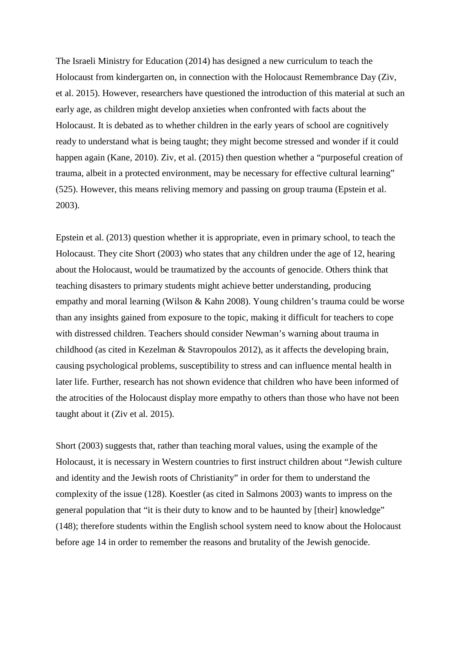The Israeli Ministry for Education (2014) has designed a new curriculum to teach the Holocaust from kindergarten on, in connection with the Holocaust Remembrance Day (Ziv, et al. 2015). However, researchers have questioned the introduction of this material at such an early age, as children might develop anxieties when confronted with facts about the Holocaust. It is debated as to whether children in the early years of school are cognitively ready to understand what is being taught; they might become stressed and wonder if it could happen again (Kane, 2010). Ziv, et al. (2015) then question whether a "purposeful creation of trauma, albeit in a protected environment, may be necessary for effective cultural learning" (525). However, this means reliving memory and passing on group trauma (Epstein et al. 2003).

Epstein et al. (2013) question whether it is appropriate, even in primary school, to teach the Holocaust. They cite Short (2003) who states that any children under the age of 12, hearing about the Holocaust, would be traumatized by the accounts of genocide. Others think that teaching disasters to primary students might achieve better understanding, producing empathy and moral learning (Wilson & Kahn 2008). Young children's trauma could be worse than any insights gained from exposure to the topic, making it difficult for teachers to cope with distressed children. Teachers should consider Newman's warning about trauma in childhood (as cited in Kezelman & Stavropoulos 2012), as it affects the developing brain, causing psychological problems, susceptibility to stress and can influence mental health in later life. Further, research has not shown evidence that children who have been informed of the atrocities of the Holocaust display more empathy to others than those who have not been taught about it (Ziv et al. 2015).

Short (2003) suggests that, rather than teaching moral values, using the example of the Holocaust, it is necessary in Western countries to first instruct children about "Jewish culture and identity and the Jewish roots of Christianity" in order for them to understand the complexity of the issue (128). Koestler (as cited in Salmons 2003) wants to impress on the general population that "it is their duty to know and to be haunted by [their] knowledge" (148); therefore students within the English school system need to know about the Holocaust before age 14 in order to remember the reasons and brutality of the Jewish genocide.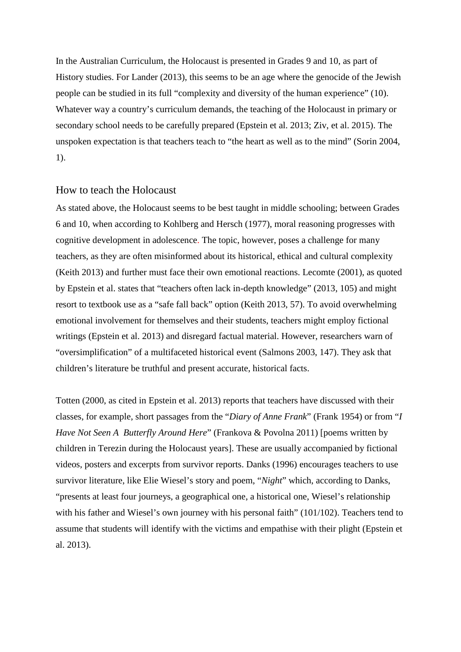In the Australian Curriculum, the Holocaust is presented in Grades 9 and 10, as part of History studies. For Lander (2013), this seems to be an age where the genocide of the Jewish people can be studied in its full "complexity and diversity of the human experience" (10). Whatever way a country's curriculum demands, the teaching of the Holocaust in primary or secondary school needs to be carefully prepared (Epstein et al. 2013; Ziv, et al. 2015). The unspoken expectation is that teachers teach to "the heart as well as to the mind" (Sorin 2004, 1).

#### How to teach the Holocaust

As stated above, the Holocaust seems to be best taught in middle schooling; between Grades 6 and 10, when according to Kohlberg and Hersch (1977), moral reasoning progresses with cognitive development in adolescence. The topic, however, poses a challenge for many teachers, as they are often misinformed about its historical, ethical and cultural complexity (Keith 2013) and further must face their own emotional reactions. Lecomte (2001), as quoted by Epstein et al. states that "teachers often lack in-depth knowledge" (2013, 105) and might resort to textbook use as a "safe fall back" option (Keith 2013, 57). To avoid overwhelming emotional involvement for themselves and their students, teachers might employ fictional writings (Epstein et al. 2013) and disregard factual material. However, researchers warn of "oversimplification" of a multifaceted historical event (Salmons 2003, 147). They ask that children's literature be truthful and present accurate, historical facts.

Totten (2000, as cited in Epstein et al. 2013) reports that teachers have discussed with their classes, for example, short passages from the "*Diary of Anne Frank*" (Frank 1954) or from "*I Have Not Seen A Butterfly Around Here*" (Frankova & Povolna 2011) [poems written by children in Terezin during the Holocaust years]. These are usually accompanied by fictional videos, posters and excerpts from survivor reports. Danks (1996) encourages teachers to use survivor literature, like Elie Wiesel's story and poem, "*Night*" which, according to Danks, "presents at least four journeys, a geographical one, a historical one, Wiesel's relationship with his father and Wiesel's own journey with his personal faith" (101/102). Teachers tend to assume that students will identify with the victims and empathise with their plight (Epstein et al. 2013).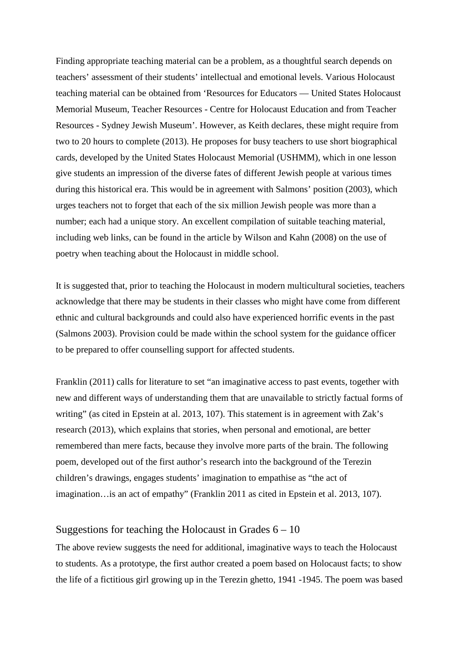Finding appropriate teaching material can be a problem, as a thoughtful search depends on teachers' assessment of their students' intellectual and emotional levels. Various Holocaust teaching material can be obtained from 'Resources for Educators — United States Holocaust Memorial Museum, Teacher Resources - Centre for Holocaust Education and from Teacher Resources - Sydney Jewish Museum'. However, as Keith declares, these might require from two to 20 hours to complete (2013). He proposes for busy teachers to use short biographical cards, developed by the United States Holocaust Memorial (USHMM), which in one lesson give students an impression of the diverse fates of different Jewish people at various times during this historical era. This would be in agreement with Salmons' position (2003), which urges teachers not to forget that each of the six million Jewish people was more than a number; each had a unique story. An excellent compilation of suitable teaching material, including web links, can be found in the article by Wilson and Kahn (2008) on the use of poetry when teaching about the Holocaust in middle school.

It is suggested that, prior to teaching the Holocaust in modern multicultural societies, teachers acknowledge that there may be students in their classes who might have come from different ethnic and cultural backgrounds and could also have experienced horrific events in the past (Salmons 2003). Provision could be made within the school system for the guidance officer to be prepared to offer counselling support for affected students.

Franklin (2011) calls for literature to set "an imaginative access to past events, together with new and different ways of understanding them that are unavailable to strictly factual forms of writing" (as cited in Epstein at al. 2013, 107). This statement is in agreement with Zak's research (2013), which explains that stories, when personal and emotional, are better remembered than mere facts, because they involve more parts of the brain. The following poem, developed out of the first author's research into the background of the Terezin children's drawings, engages students' imagination to empathise as "the act of imagination…is an act of empathy" (Franklin 2011 as cited in Epstein et al. 2013, 107).

#### Suggestions for teaching the Holocaust in Grades  $6 - 10$

The above review suggests the need for additional, imaginative ways to teach the Holocaust to students. As a prototype, the first author created a poem based on Holocaust facts; to show the life of a fictitious girl growing up in the Terezin ghetto, 1941 -1945. The poem was based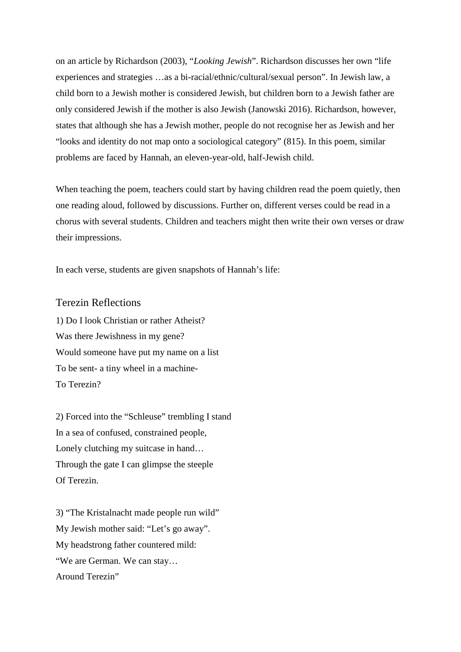on an article by Richardson (2003), "*Looking Jewish*". Richardson discusses her own "life experiences and strategies …as a bi-racial/ethnic/cultural/sexual person". In Jewish law, a child born to a Jewish mother is considered Jewish, but children born to a Jewish father are only considered Jewish if the mother is also Jewish (Janowski 2016). Richardson, however, states that although she has a Jewish mother, people do not recognise her as Jewish and her "looks and identity do not map onto a sociological category" (815). In this poem, similar problems are faced by Hannah, an eleven-year-old, half-Jewish child.

When teaching the poem, teachers could start by having children read the poem quietly, then one reading aloud, followed by discussions. Further on, different verses could be read in a chorus with several students. Children and teachers might then write their own verses or draw their impressions.

In each verse, students are given snapshots of Hannah's life:

#### Terezin Reflections

1) Do I look Christian or rather Atheist? Was there Jewishness in my gene? Would someone have put my name on a list To be sent- a tiny wheel in a machine-To Terezin?

2) Forced into the "Schleuse" trembling I stand In a sea of confused, constrained people, Lonely clutching my suitcase in hand… Through the gate I can glimpse the steeple Of Terezin.

3) "The Kristalnacht made people run wild" My Jewish mother said: "Let's go away". My headstrong father countered mild: "We are German. We can stay… Around Terezin"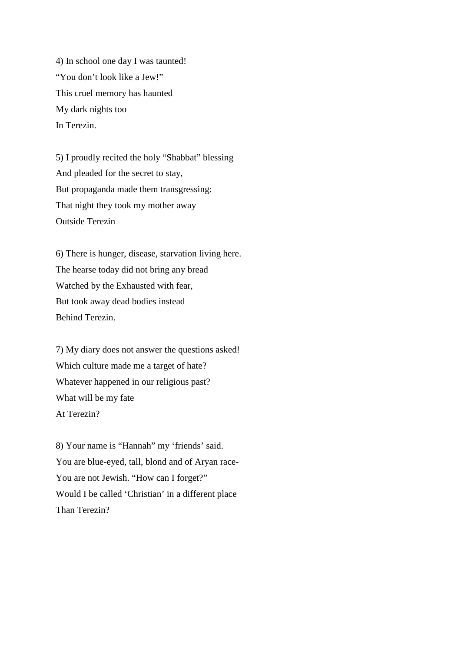4) In school one day I was taunted! "You don't look like a Jew!" This cruel memory has haunted My dark nights too In Terezin.

5) I proudly recited the holy "Shabbat" blessing And pleaded for the secret to stay, But propaganda made them transgressing: That night they took my mother away Outside Terezin

6) There is hunger, disease, starvation living here. The hearse today did not bring any bread Watched by the Exhausted with fear, But took away dead bodies instead Behind Terezin.

7) My diary does not answer the questions asked! Which culture made me a target of hate? Whatever happened in our religious past? What will be my fate At Terezin?

8) Your name is "Hannah" my 'friends' said. You are blue-eyed, tall, blond and of Aryan race-You are not Jewish. "How can I forget?" Would I be called 'Christian' in a different place Than Terezin?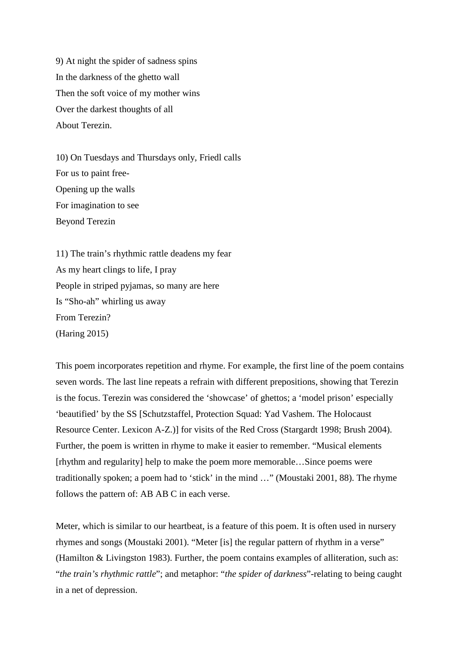9) At night the spider of sadness spins In the darkness of the ghetto wall Then the soft voice of my mother wins Over the darkest thoughts of all About Terezin.

10) On Tuesdays and Thursdays only, Friedl calls For us to paint free-Opening up the walls For imagination to see Beyond Terezin

11) The train's rhythmic rattle deadens my fear As my heart clings to life, I pray People in striped pyjamas, so many are here Is "Sho-ah" whirling us away From Terezin? (Haring 2015)

This poem incorporates repetition and rhyme. For example, the first line of the poem contains seven words. The last line repeats a refrain with different prepositions, showing that Terezin is the focus. Terezin was considered the 'showcase' of ghettos; a 'model prison' especially 'beautified' by the SS [Schutzstaffel, Protection Squad: Yad Vashem. The Holocaust Resource Center. Lexicon A-Z.)] for visits of the Red Cross (Stargardt 1998; Brush 2004). Further, the poem is written in rhyme to make it easier to remember. "Musical elements [rhythm and regularity] help to make the poem more memorable…Since poems were traditionally spoken; a poem had to 'stick' in the mind …" (Moustaki 2001, 88). The rhyme follows the pattern of: AB AB C in each verse.

Meter, which is similar to our heartbeat, is a feature of this poem. It is often used in nursery rhymes and songs (Moustaki 2001). "Meter [is] the regular pattern of rhythm in a verse" (Hamilton & Livingston 1983). Further, the poem contains examples of alliteration, such as: "*the train's rhythmic rattle*"; and metaphor: "*the spider of darkness*"-relating to being caught in a net of depression.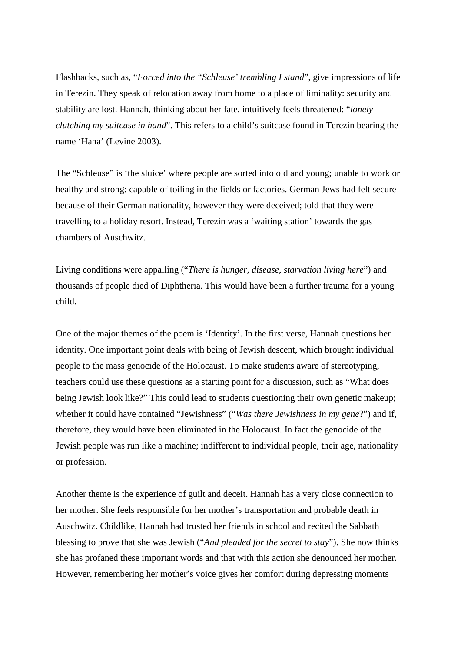Flashbacks, such as, "*Forced into the "Schleuse' trembling I stand*", give impressions of life in Terezin. They speak of relocation away from home to a place of liminality: security and stability are lost. Hannah, thinking about her fate, intuitively feels threatened: "*lonely clutching my suitcase in hand*". This refers to a child's suitcase found in Terezin bearing the name 'Hana' (Levine 2003).

The "Schleuse" is 'the sluice' where people are sorted into old and young; unable to work or healthy and strong; capable of toiling in the fields or factories. German Jews had felt secure because of their German nationality, however they were deceived; told that they were travelling to a holiday resort. Instead, Terezin was a 'waiting station' towards the gas chambers of Auschwitz.

Living conditions were appalling ("*There is hunger, disease, starvation living here*") and thousands of people died of Diphtheria. This would have been a further trauma for a young child.

One of the major themes of the poem is 'Identity'. In the first verse, Hannah questions her identity. One important point deals with being of Jewish descent, which brought individual people to the mass genocide of the Holocaust. To make students aware of stereotyping, teachers could use these questions as a starting point for a discussion, such as "What does being Jewish look like?" This could lead to students questioning their own genetic makeup; whether it could have contained "Jewishness" ("*Was there Jewishness in my gene*?") and if, therefore, they would have been eliminated in the Holocaust. In fact the genocide of the Jewish people was run like a machine; indifferent to individual people, their age, nationality or profession.

Another theme is the experience of guilt and deceit. Hannah has a very close connection to her mother. She feels responsible for her mother's transportation and probable death in Auschwitz. Childlike, Hannah had trusted her friends in school and recited the Sabbath blessing to prove that she was Jewish ("*And pleaded for the secret to stay*"). She now thinks she has profaned these important words and that with this action she denounced her mother. However, remembering her mother's voice gives her comfort during depressing moments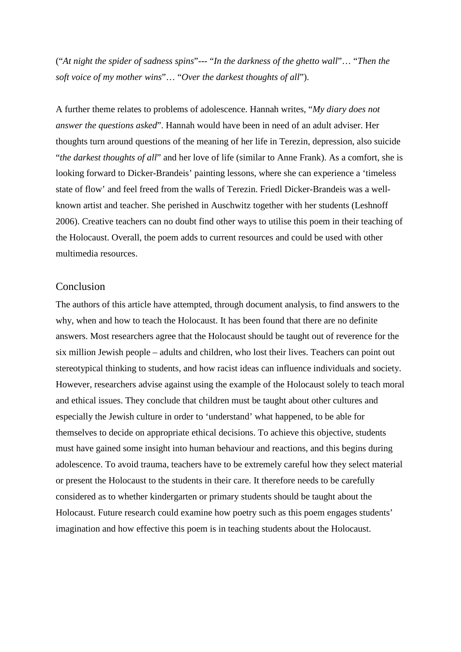("*At night the spider of sadness spins*"--- "*In the darkness of the ghetto wall*"… "*Then the soft voice of my mother wins*"… "*Over the darkest thoughts of all*").

A further theme relates to problems of adolescence. Hannah writes, "*My diary does not answer the questions asked*". Hannah would have been in need of an adult adviser. Her thoughts turn around questions of the meaning of her life in Terezin, depression, also suicide "*the darkest thoughts of all*" and her love of life (similar to Anne Frank). As a comfort, she is looking forward to Dicker-Brandeis' painting lessons, where she can experience a 'timeless state of flow' and feel freed from the walls of Terezin. Friedl Dicker-Brandeis was a wellknown artist and teacher. She perished in Auschwitz together with her students (Leshnoff 2006). Creative teachers can no doubt find other ways to utilise this poem in their teaching of the Holocaust. Overall, the poem adds to current resources and could be used with other multimedia resources.

#### Conclusion

The authors of this article have attempted, through document analysis, to find answers to the why, when and how to teach the Holocaust. It has been found that there are no definite answers. Most researchers agree that the Holocaust should be taught out of reverence for the six million Jewish people – adults and children, who lost their lives. Teachers can point out stereotypical thinking to students, and how racist ideas can influence individuals and society. However, researchers advise against using the example of the Holocaust solely to teach moral and ethical issues. They conclude that children must be taught about other cultures and especially the Jewish culture in order to 'understand' what happened, to be able for themselves to decide on appropriate ethical decisions. To achieve this objective, students must have gained some insight into human behaviour and reactions, and this begins during adolescence. To avoid trauma, teachers have to be extremely careful how they select material or present the Holocaust to the students in their care. It therefore needs to be carefully considered as to whether kindergarten or primary students should be taught about the Holocaust. Future research could examine how poetry such as this poem engages students' imagination and how effective this poem is in teaching students about the Holocaust.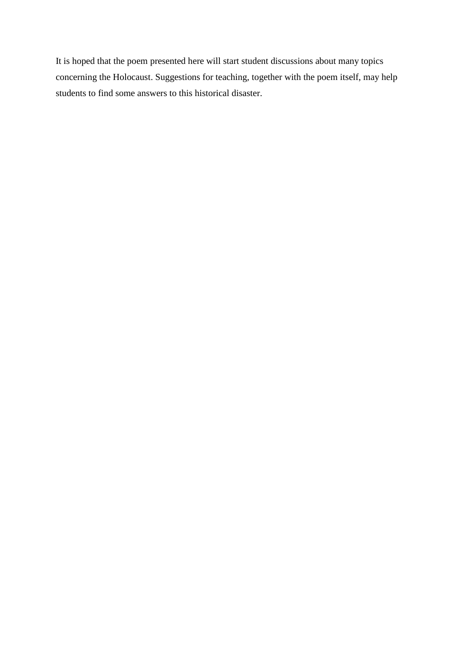It is hoped that the poem presented here will start student discussions about many topics concerning the Holocaust. Suggestions for teaching, together with the poem itself, may help students to find some answers to this historical disaster.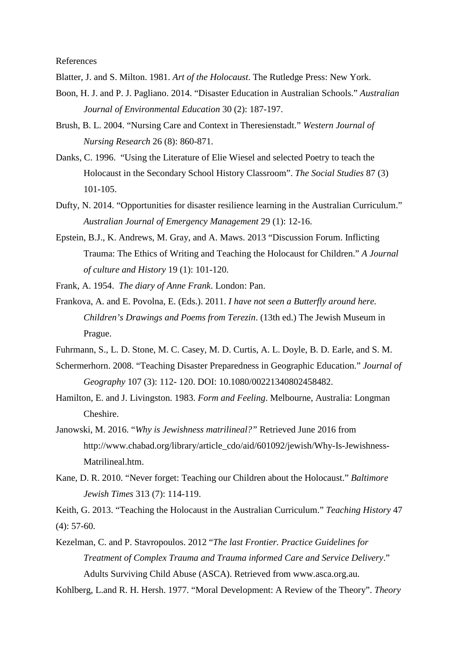References

- Blatter, J. and S. Milton. 1981. *Art of the Holocaust*. The Rutledge Press: New York.
- Boon, H. J. and P. J. Pagliano. 2014. "Disaster Education in Australian Schools." *Australian Journal of Environmental Education* 30 (2): 187-197.
- Brush, B. L. 2004. "Nursing Care and Context in Theresienstadt." *Western Journal of Nursing Research* 26 (8): 860-871.
- Danks, C. 1996. "Using the Literature of Elie Wiesel and selected Poetry to teach the Holocaust in the Secondary School History Classroom". *The Social Studies* 87 (3) 101-105.
- Dufty, N. 2014. "Opportunities for disaster resilience learning in the Australian Curriculum." *Australian Journal of Emergency Management* 29 (1): 12-16.
- Epstein, B.J., K. Andrews, M. Gray, and A. Maws. 2013 "Discussion Forum. Inflicting Trauma: The Ethics of Writing and Teaching the Holocaust for Children." *A Journal of culture and History* 19 (1): 101-120.

Frank, A. 1954. *The diary of Anne Frank*. London: Pan.

- Frankova, A. and E. Povolna, E. (Eds.). 2011. *I have not seen a Butterfly around here. Children's Drawings and Poems from Terezin*. (13th ed.) The Jewish Museum in Prague.
- Fuhrmann, S., L. D. Stone, M. C. Casey, M. D. Curtis, A. L. Doyle, B. D. Earle, and S. M.
- Schermerhorn. 2008. "Teaching Disaster Preparedness in Geographic Education." *Journal of Geography* 107 (3): 112- 120. DOI: 10.1080/00221340802458482.
- Hamilton, E. and J. Livingston. 1983. *Form and Feeling*. Melbourne, Australia: Longman Cheshire.
- Janowski, M. 2016. "*Why is Jewishness matrilineal?"* Retrieved June 2016 from http://www.chabad.org/library/article\_cdo/aid/601092/jewish/Why-Is-Jewishness-Matrilineal.htm.
- Kane, D. R. 2010. "Never forget: Teaching our Children about the Holocaust." *Baltimore Jewish Times* 313 (7): 114-119.

Keith, G. 2013. "Teaching the Holocaust in the Australian Curriculum." *Teaching History* 47  $(4)$ : 57-60.

Kezelman, C. and P. Stavropoulos. 2012 "*The last Frontier. Practice Guidelines for Treatment of Complex Trauma and Trauma informed Care and Service Delivery*." Adults Surviving Child Abuse (ASCA). Retrieved from www.asca.org.au.

Kohlberg, L.and R. H. Hersh. 1977. "Moral Development: A Review of the Theory". *Theory*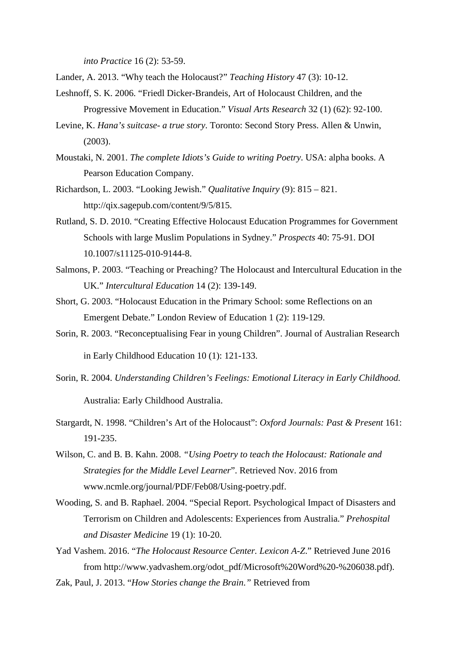*into Practice* 16 (2): 53-59.

- Lander, A. 2013. "Why teach the Holocaust?" *Teaching History* 47 (3): 10-12.
- Leshnoff, S. K. 2006. "Friedl Dicker-Brandeis, Art of Holocaust Children, and the Progressive Movement in Education." *Visual Arts Research* 32 (1) (62): 92-100.
- Levine, K. *Hana's suitcase- a true story*. Toronto: Second Story Press. Allen & Unwin, (2003).
- Moustaki, N. 2001. *The complete Idiots's Guide to writing Poetry*. USA: alpha books. A Pearson Education Company.
- Richardson, L. 2003. "Looking Jewish." *Qualitative Inquiry* (9): 815 821. http://qix.sagepub.com/content/9/5/815.
- Rutland, S. D. 2010. "Creating Effective Holocaust Education Programmes for Government Schools with large Muslim Populations in Sydney." *Prospects* 40: 75-91. DOI 10.1007/s11125-010-9144-8.
- Salmons, P. 2003. "Teaching or Preaching? The Holocaust and Intercultural Education in the UK." *Intercultural Education* 14 (2): 139-149.
- Short, G. 2003. "Holocaust Education in the Primary School: some Reflections on an Emergent Debate." London Review of Education 1 (2): 119-129.
- Sorin, R. 2003. "Reconceptualising Fear in young Children". Journal of Australian Research in Early Childhood Education 10 (1): 121-133.
- Sorin, R. 2004. *Understanding Children's Feelings: Emotional Literacy in Early Childhood.* Australia: Early Childhood Australia.
- Stargardt, N. 1998. "Children's Art of the Holocaust": *Oxford Journals: Past & Present* 161: 191-235.
- Wilson, C. and B. B. Kahn. 2008. *"Using Poetry to teach the Holocaust: Rationale and Strategies for the Middle Level Learner*". Retrieved Nov. 2016 from www.ncmle.org/journal/PDF/Feb08/Using-poetry.pdf.
- Wooding, S. and B. Raphael. 2004. "Special Report. Psychological Impact of Disasters and Terrorism on Children and Adolescents: Experiences from Australia." *Prehospital and Disaster Medicine* 19 (1): 10-20.

Yad Vashem. 2016. "*The Holocaust Resource Center. Lexicon A-Z*." Retrieved June 2016 from http://www.yadvashem.org/odot\_pdf/Microsoft%20Word%20-%206038.pdf).

Zak, Paul, J. 2013. "*How Stories change the Brain."* Retrieved from